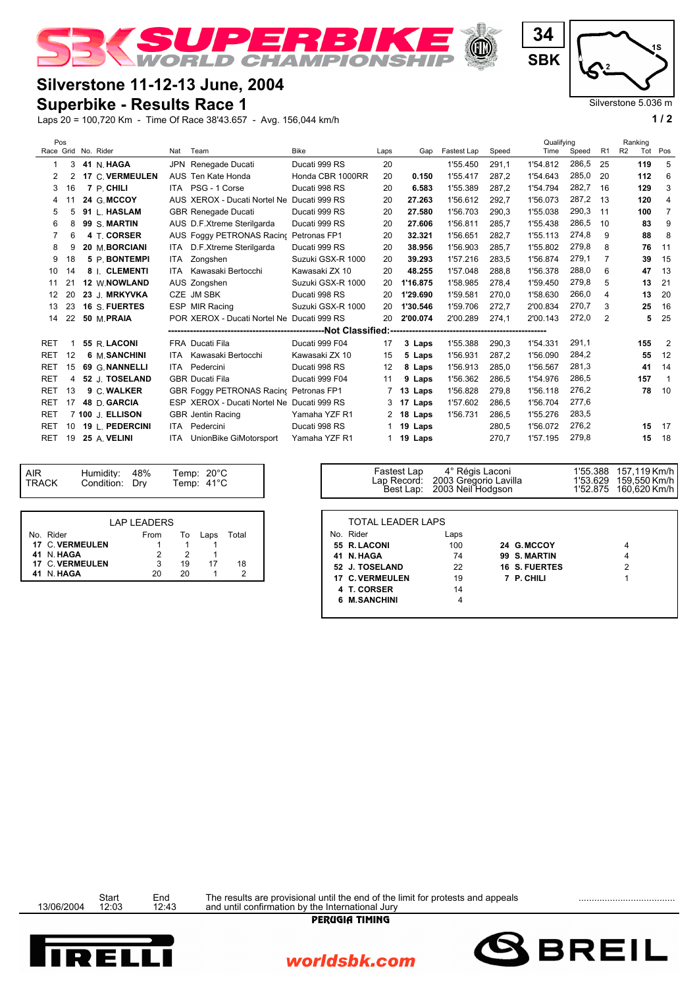

## **Silverstone 11-12-13 June, 2004**

## **Superbike - Results Race 1**

Laps 20 = 100,720 Km - Time Of Race 38'43.657 - Avg. 156,044 km/h **1 / 2**

|  | Pos                 |    |  |                        |          |                                            |                   |      |                  |             |       | Qualifying |       |                | Ranking       |                |
|--|---------------------|----|--|------------------------|----------|--------------------------------------------|-------------------|------|------------------|-------------|-------|------------|-------|----------------|---------------|----------------|
|  | Race Grid No. Rider |    |  |                        | Nat Team |                                            | <b>Bike</b>       | Laps | Gap              | Fastest Lap | Speed | Time       | Speed | R <sub>1</sub> | R2<br>Tot Pos |                |
|  |                     | 3  |  | 41 N. HAGA             | JPN      | Renegade Ducati                            | Ducati 999 RS     | 20   |                  | 1'55.450    | 291.1 | 1'54.812   | 286,5 | 25             | 119           | 5              |
|  | 2                   | 2  |  | <b>17 C. VERMEULEN</b> |          | AUS Ten Kate Honda                         | Honda CBR 1000RR  | 20   | 0.150            | 1'55.417    | 287,2 | 1'54.643   | 285,0 | 20             | 112           | 6              |
|  | 3                   | 16 |  | 7 P. CHILI             |          | ITA PSG - 1 Corse                          | Ducati 998 RS     | 20   | 6.583            | 1'55.389    | 287,2 | 1'54.794   | 282,7 | -16            | 129           | 3              |
|  | 4                   | 11 |  | 24 G. MCCOY            |          | AUS XEROX - Ducati Nortel Ne               | Ducati 999 RS     | 20   | 27.263           | 1'56.612    | 292.7 | 1'56.073   | 287,2 | - 13           | 120           | 4              |
|  | 5                   | 5  |  | 91 L. HASLAM           |          | <b>GBR Renegade Ducati</b>                 | Ducati 999 RS     | 20   | 27.580           | 1'56.703    | 290,3 | 1'55.038   | 290,3 | 11             | 100           | $\overline{7}$ |
|  | 6                   | 8  |  | 99 S. MARTIN           |          | AUS D.F.Xtreme Sterilgarda                 | Ducati 999 RS     | 20   | 27.606           | 1'56.811    | 285,7 | 1'55.438   | 286.5 | 10             | 83            | 9              |
|  |                     | 6  |  | 4 T. CORSER            |          | AUS Foggy PETRONAS Racing                  | Petronas FP1      | 20   | 32.321           | 1'56.651    | 282.7 | 1'55.113   | 274,8 | 9              | 88            | 8              |
|  | 8                   | 9  |  | 20 M. BORCIANI         |          | ITA D.F.Xtreme Sterilgarda                 | Ducati 999 RS     | 20   | 38.956           | 1'56.903    | 285,7 | 1'55.802   | 279,8 | 8              | 76            | 11             |
|  | 9                   | 18 |  | 5 P. BONTEMPI          |          | ITA Zongshen                               | Suzuki GSX-R 1000 | 20   | 39.293           | 1'57.216    | 283,5 | 1'56.874   | 279,1 | 7              | 39            | 15             |
|  | 10                  | 14 |  | 8   CLEMENTI           | ITA      | Kawasaki Bertocchi                         | Kawasaki ZX 10    | 20   | 48.255           | 1'57.048    | 288,8 | 1'56.378   | 288,0 | 6              | 47            | 13             |
|  | 11                  | 21 |  | 12 W.NOWLAND           |          | AUS Zongshen                               | Suzuki GSX-R 1000 | 20   | 1'16.875         | 1'58.985    | 278,4 | 1'59.450   | 279,8 | 5              | 13            | 21             |
|  | 12                  | 20 |  | 23 J. MRKYVKA          |          | CZE JM SBK                                 | Ducati 998 RS     | 20   | 1'29.690         | 1'59.581    | 270.0 | 1'58.630   | 266,0 | 4              | 13            | 20             |
|  | 13                  | 23 |  | 16 S. FUERTES          |          | ESP MIR Racing                             | Suzuki GSX-R 1000 | 20   | 1'30.546         | 1'59.706    | 272,7 | 2'00.834   | 270.7 | 3              | 25            | 16             |
|  | 14                  | 22 |  | 50 M.PRAIA             |          | POR XEROX - Ducati Nortel Ne Ducati 999 RS |                   | 20   | 2'00.074         | 2'00.289    | 274,1 | 2'00.143   | 272,0 | $\overline{2}$ | 5             | 25             |
|  |                     |    |  |                        |          |                                            |                   |      |                  |             |       |            |       |                |               |                |
|  | <b>RET</b>          |    |  | 55 R. LACONI           |          | FRA Ducati Fila                            | Ducati 999 F04    | 17   | 3 Laps           | 1'55.388    | 290,3 | 1'54.331   | 291,1 |                | 155           | $\overline{2}$ |
|  | <b>RET</b>          | 12 |  | 6 M. SANCHINI          | ITA      | Kawasaki Bertocchi                         | Kawasaki ZX 10    | 15   | 5 Laps           | 1'56.931    | 287,2 | 1'56.090   | 284.2 |                | 55            | 12             |
|  | <b>RET</b>          | 15 |  | 69 G. NANNELLI         |          | ITA Pedercini                              | Ducati 998 RS     | 12   | 8 Laps           | 1'56.913    | 285,0 | 1'56.567   | 281,3 |                | 41            | 14             |
|  | <b>RET</b>          | 4  |  | 52 J. TOSELAND         |          | <b>GBR Ducati Fila</b>                     | Ducati 999 F04    | 11   | 9 Laps           | 1'56.362    | 286,5 | 1'54.976   | 286.5 |                | 157           | -1             |
|  | <b>RET</b>          | 13 |  | 9 C. WALKER            |          | GBR Foggy PETRONAS Racing Petronas FP1     |                   |      | 7 13 Laps        | 1'56.828    | 279.8 | 1'56.118   | 276,2 |                | 78            | 10             |
|  | <b>RET</b>          | 17 |  | 48 D. GARCIA           |          | ESP XEROX - Ducati Nortel Ne Ducati 999 RS |                   |      | 3 17 Laps        | 1'57.602    | 286,5 | 1'56.704   | 277,6 |                |               |                |
|  | <b>RET</b>          |    |  | 7 100 J. ELLISON       |          | <b>GBR</b> Jentin Racing                   | Yamaha YZF R1     |      | 2 18 Laps        | 1'56.731    | 286,5 | 1'55.276   | 283,5 |                |               |                |
|  | <b>RET</b>          | 10 |  | 19 L. PEDERCINI        | ITA      | Pedercini                                  | Ducati 998 RS     |      | 19 Laps          |             | 280,5 | 1'56.072   | 276,2 |                | 15            | 17             |
|  | <b>RET</b>          | 19 |  | 25 A. VELINI           | ITA      | UnionBike GiMotorsport                     | Yamaha YZF R1     |      | 1 <b>19 Laps</b> |             | 270.7 | 1'57.195   | 279.8 |                | 15            | 18             |

|                 | <b>LAP LEADERS</b> |    |      |       |
|-----------------|--------------------|----|------|-------|
| No. Rider       | From               | To | Laps | Total |
| 17 C. VERMEULEN |                    |    |      |       |
| 41 N.HAGA       |                    |    |      |       |
| 17 C. VERMEULEN |                    | 19 | 17   | 18    |
| N. HAGA         | 20                 |    |      |       |

| Condition: Dry |                    |    | Temp: $41^{\circ}$ C |       | Lap Record:<br>Best Lap: | 2003 Gregorio Lavilla<br>2003 Neil Hodgson |                      | 1'53.629 159,550 Km/h |
|----------------|--------------------|----|----------------------|-------|--------------------------|--------------------------------------------|----------------------|-----------------------|
|                | <b>LAP LEADERS</b> |    |                      |       | <b>TOTAL LEADER LAPS</b> |                                            |                      |                       |
|                | From               | To | Laps                 | Total | No. Rider                | Laps                                       |                      |                       |
| <b>EULEN</b>   |                    |    |                      |       | 55 R. LACONI             | 100                                        | 24 G.MCCOY           | 4                     |
|                |                    |    |                      |       | 41 N. HAGA               | 74                                         | 99 S. MARTIN         |                       |
| <b>EULEN</b>   |                    | 19 | 17                   | 18    | 52 J. TOSELAND           | 22                                         | <b>16 S. FUERTES</b> |                       |
|                | 20                 | 20 |                      |       | 17 C. VERMEULEN          | 19                                         | 7 P. CHILI           |                       |
|                |                    |    |                      |       | 4 T. CORSER              | 14                                         |                      |                       |
|                |                    |    |                      |       | 6 M.SANCHINI             |                                            |                      |                       |
|                |                    |    |                      |       |                          |                                            |                      |                       |

Fastest Lap 4° Régis Laconi 1'55.388 157,119 Km/h



Silverstone 5.036 m

F.

Start End The results are provisional until the end of the limit for protests and appeals<br>13/06/2004 12:03 12:43 and until confirmation by the International Jury

worldsbk.com